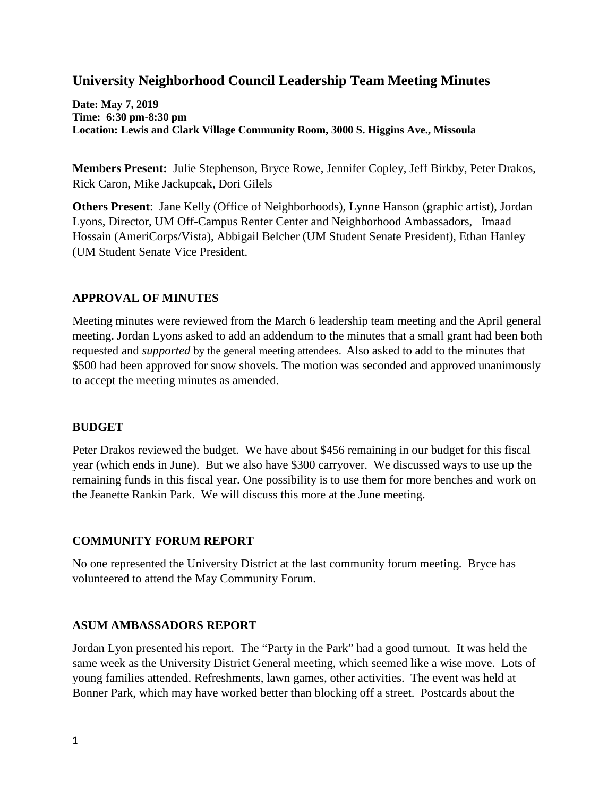# **University Neighborhood Council Leadership Team Meeting Minutes**

**Date: May 7, 2019 Time: 6:30 pm-8:30 pm Location: Lewis and Clark Village Community Room, 3000 S. Higgins Ave., Missoula**

**Members Present:** Julie Stephenson, Bryce Rowe, Jennifer Copley, Jeff Birkby, Peter Drakos, Rick Caron, Mike Jackupcak, Dori Gilels

**Others Present**: Jane Kelly (Office of Neighborhoods), Lynne Hanson (graphic artist), Jordan Lyons, Director, UM Off-Campus Renter Center and Neighborhood Ambassadors, Imaad Hossain (AmeriCorps/Vista), Abbigail Belcher (UM Student Senate President), Ethan Hanley (UM Student Senate Vice President.

### **APPROVAL OF MINUTES**

Meeting minutes were reviewed from the March 6 leadership team meeting and the April general meeting. Jordan Lyons asked to add an addendum to the minutes that a small grant had been both requested and *supported* by the general meeting attendees. Also asked to add to the minutes that \$500 had been approved for snow shovels. The motion was seconded and approved unanimously to accept the meeting minutes as amended.

#### **BUDGET**

Peter Drakos reviewed the budget. We have about \$456 remaining in our budget for this fiscal year (which ends in June). But we also have \$300 carryover. We discussed ways to use up the remaining funds in this fiscal year. One possibility is to use them for more benches and work on the Jeanette Rankin Park. We will discuss this more at the June meeting.

#### **COMMUNITY FORUM REPORT**

No one represented the University District at the last community forum meeting. Bryce has volunteered to attend the May Community Forum.

#### **ASUM AMBASSADORS REPORT**

Jordan Lyon presented his report. The "Party in the Park" had a good turnout. It was held the same week as the University District General meeting, which seemed like a wise move. Lots of young families attended. Refreshments, lawn games, other activities. The event was held at Bonner Park, which may have worked better than blocking off a street. Postcards about the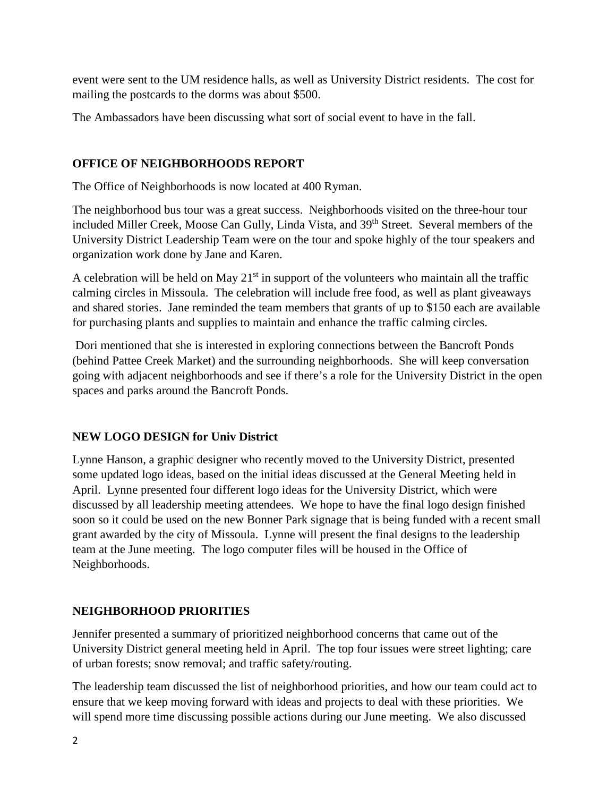event were sent to the UM residence halls, as well as University District residents. The cost for mailing the postcards to the dorms was about \$500.

The Ambassadors have been discussing what sort of social event to have in the fall.

## **OFFICE OF NEIGHBORHOODS REPORT**

The Office of Neighborhoods is now located at 400 Ryman.

The neighborhood bus tour was a great success. Neighborhoods visited on the three-hour tour included Miller Creek, Moose Can Gully, Linda Vista, and 39th Street. Several members of the University District Leadership Team were on the tour and spoke highly of the tour speakers and organization work done by Jane and Karen.

A celebration will be held on May  $21<sup>st</sup>$  in support of the volunteers who maintain all the traffic calming circles in Missoula. The celebration will include free food, as well as plant giveaways and shared stories. Jane reminded the team members that grants of up to \$150 each are available for purchasing plants and supplies to maintain and enhance the traffic calming circles.

Dori mentioned that she is interested in exploring connections between the Bancroft Ponds (behind Pattee Creek Market) and the surrounding neighborhoods. She will keep conversation going with adjacent neighborhoods and see if there's a role for the University District in the open spaces and parks around the Bancroft Ponds.

### **NEW LOGO DESIGN for Univ District**

Lynne Hanson, a graphic designer who recently moved to the University District, presented some updated logo ideas, based on the initial ideas discussed at the General Meeting held in April. Lynne presented four different logo ideas for the University District, which were discussed by all leadership meeting attendees. We hope to have the final logo design finished soon so it could be used on the new Bonner Park signage that is being funded with a recent small grant awarded by the city of Missoula. Lynne will present the final designs to the leadership team at the June meeting. The logo computer files will be housed in the Office of Neighborhoods.

### **NEIGHBORHOOD PRIORITIES**

Jennifer presented a summary of prioritized neighborhood concerns that came out of the University District general meeting held in April. The top four issues were street lighting; care of urban forests; snow removal; and traffic safety/routing.

The leadership team discussed the list of neighborhood priorities, and how our team could act to ensure that we keep moving forward with ideas and projects to deal with these priorities. We will spend more time discussing possible actions during our June meeting. We also discussed